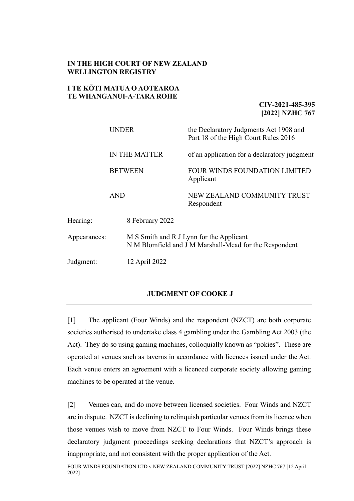## **IN THE HIGH COURT OF NEW ZEALAND WELLINGTON REGISTRY**

# **I TE KŌTI MATUA O AOTEAROA TE WHANGANUI-A-TARA ROHE**

**CIV-2021-485-395 [2022] NZHC 767**

|                            | <b>UNDER</b><br>IN THE MATTER<br><b>BETWEEN</b><br><b>AND</b> |  | the Declaratory Judgments Act 1908 and<br>Part 18 of the High Court Rules 2016                     |
|----------------------------|---------------------------------------------------------------|--|----------------------------------------------------------------------------------------------------|
|                            |                                                               |  | of an application for a declaratory judgment                                                       |
|                            |                                                               |  | <b>FOUR WINDS FOUNDATION LIMITED</b><br>Applicant                                                  |
|                            |                                                               |  | NEW ZEALAND COMMUNITY TRUST<br>Respondent                                                          |
| Hearing:                   | 8 February 2022                                               |  |                                                                                                    |
| Appearances:               |                                                               |  | M S Smith and R J Lynn for the Applicant<br>N M Blomfield and J M Marshall-Mead for the Respondent |
| Judgment:<br>12 April 2022 |                                                               |  |                                                                                                    |
|                            |                                                               |  |                                                                                                    |

# **JUDGMENT OF COOKE J**

[1] The applicant (Four Winds) and the respondent (NZCT) are both corporate societies authorised to undertake class 4 gambling under the Gambling Act 2003 (the Act). They do so using gaming machines, colloquially known as "pokies". These are operated at venues such as taverns in accordance with licences issued under the Act. Each venue enters an agreement with a licenced corporate society allowing gaming machines to be operated at the venue.

[2] Venues can, and do move between licensed societies. Four Winds and NZCT are in dispute. NZCT is declining to relinquish particular venues from its licence when those venues wish to move from NZCT to Four Winds. Four Winds brings these declaratory judgment proceedings seeking declarations that NZCT's approach is inappropriate, and not consistent with the proper application of the Act.

FOUR WINDS FOUNDATION LTD v NEW ZEALAND COMMUNITY TRUST [2022] NZHC 767 [12 April 2022]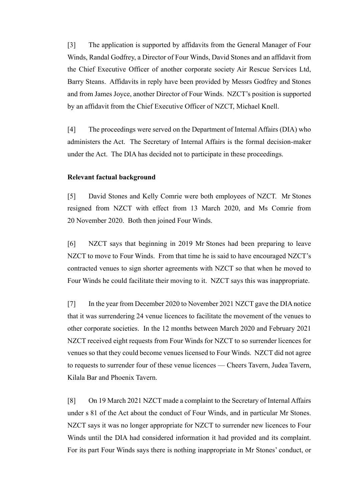[3] The application is supported by affidavits from the General Manager of Four Winds, Randal Godfrey, a Director of Four Winds, David Stones and an affidavit from the Chief Executive Officer of another corporate society Air Rescue Services Ltd, Barry Steans. Affidavits in reply have been provided by Messrs Godfrey and Stones and from James Joyce, another Director of Four Winds. NZCT's position is supported by an affidavit from the Chief Executive Officer of NZCT, Michael Knell.

[4] The proceedings were served on the Department of Internal Affairs (DIA) who administers the Act. The Secretary of Internal Affairs is the formal decision-maker under the Act. The DIA has decided not to participate in these proceedings.

### **Relevant factual background**

[5] David Stones and Kelly Comrie were both employees of NZCT. Mr Stones resigned from NZCT with effect from 13 March 2020, and Ms Comrie from 20 November 2020. Both then joined Four Winds.

[6] NZCT says that beginning in 2019 Mr Stones had been preparing to leave NZCT to move to Four Winds. From that time he is said to have encouraged NZCT's contracted venues to sign shorter agreements with NZCT so that when he moved to Four Winds he could facilitate their moving to it. NZCT says this was inappropriate.

[7] In the year from December 2020 to November 2021 NZCT gave the DIA notice that it was surrendering 24 venue licences to facilitate the movement of the venues to other corporate societies. In the 12 months between March 2020 and February 2021 NZCT received eight requests from Four Winds for NZCT to so surrender licences for venues so that they could become venues licensed to Four Winds. NZCT did not agree to requests to surrender four of these venue licences — Cheers Tavern, Judea Tavern, Kilala Bar and Phoenix Tavern.

[8] On 19 March 2021 NZCT made a complaint to the Secretary of Internal Affairs under s 81 of the Act about the conduct of Four Winds, and in particular Mr Stones. NZCT says it was no longer appropriate for NZCT to surrender new licences to Four Winds until the DIA had considered information it had provided and its complaint. For its part Four Winds says there is nothing inappropriate in Mr Stones' conduct, or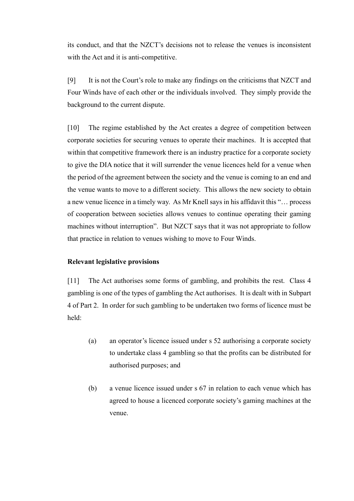its conduct, and that the NZCT's decisions not to release the venues is inconsistent with the Act and it is anti-competitive.

[9] It is not the Court's role to make any findings on the criticisms that NZCT and Four Winds have of each other or the individuals involved. They simply provide the background to the current dispute.

[10] The regime established by the Act creates a degree of competition between corporate societies for securing venues to operate their machines. It is accepted that within that competitive framework there is an industry practice for a corporate society to give the DIA notice that it will surrender the venue licences held for a venue when the period of the agreement between the society and the venue is coming to an end and the venue wants to move to a different society. This allows the new society to obtain a new venue licence in a timely way. As Mr Knell says in his affidavit this "… process of cooperation between societies allows venues to continue operating their gaming machines without interruption". But NZCT says that it was not appropriate to follow that practice in relation to venues wishing to move to Four Winds.

## **Relevant legislative provisions**

[11] The Act authorises some forms of gambling, and prohibits the rest. Class 4 gambling is one of the types of gambling the Act authorises. It is dealt with in Subpart 4 of Part 2. In order for such gambling to be undertaken two forms of licence must be held:

- (a) an operator's licence issued under s 52 authorising a corporate society to undertake class 4 gambling so that the profits can be distributed for authorised purposes; and
- (b) a venue licence issued under s 67 in relation to each venue which has agreed to house a licenced corporate society's gaming machines at the venue.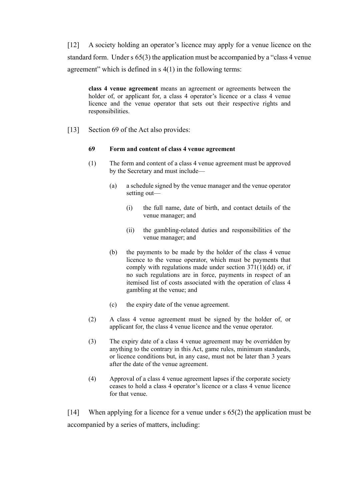[12] A society holding an operator's licence may apply for a venue licence on the standard form. Under s 65(3) the application must be accompanied by a "class 4 venue agreement" which is defined in s 4(1) in the following terms:

**class 4 venue agreement** means an agreement or agreements between the holder of, or applicant for, a class 4 operator's licence or a class 4 venue licence and the venue operator that sets out their respective rights and responsibilities.

[13] Section 69 of the Act also provides:

#### **69 Form and content of class 4 venue agreement**

- (1) The form and content of a class 4 venue agreement must be approved by the Secretary and must include—
	- (a) a schedule signed by the venue manager and the venue operator setting out—
		- (i) the full name, date of birth, and contact details of the venue manager; and
		- (ii) the gambling-related duties and responsibilities of the venue manager; and
	- (b) the payments to be made by the holder of the class 4 venue licence to the venue operator, which must be payments that comply with regulations made under section 371(1)(dd) or, if no such regulations are in force, payments in respect of an itemised list of costs associated with the operation of class 4 gambling at the venue; and
	- (c) the expiry date of the venue agreement.
- (2) A class 4 venue agreement must be signed by the holder of, or applicant for, the class 4 venue licence and the venue operator.
- (3) The expiry date of a class 4 venue agreement may be overridden by anything to the contrary in this Act, game rules, minimum standards, or licence conditions but, in any case, must not be later than 3 years after the date of the venue agreement.
- (4) Approval of a class 4 venue agreement lapses if the corporate society ceases to hold a class 4 operator's licence or a class 4 venue licence for that venue.

[14] When applying for a licence for a venue under s 65(2) the application must be accompanied by a series of matters, including: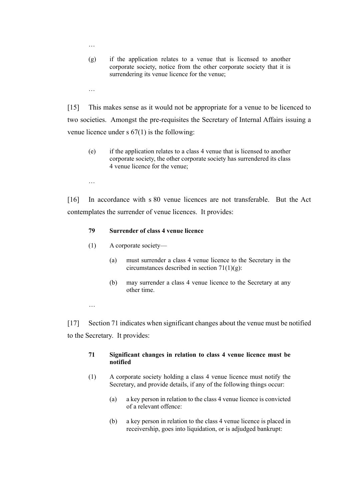- (g) if the application relates to a venue that is licensed to another corporate society, notice from the other corporate society that it is surrendering its venue licence for the venue;
- …

…

[15] This makes sense as it would not be appropriate for a venue to be licenced to two societies. Amongst the pre-requisites the Secretary of Internal Affairs issuing a venue licence under s 67(1) is the following:

- (e) if the application relates to a class 4 venue that is licensed to another corporate society, the other corporate society has surrendered its class 4 venue licence for the venue;
- …

[16] In accordance with s 80 venue licences are not transferable. But the Act contemplates the surrender of venue licences. It provides:

### **79 Surrender of class 4 venue licence**

- (1) A corporate society—
	- (a) must surrender a class 4 venue licence to the Secretary in the circumstances described in section 71(1)(g):
	- (b) may surrender a class 4 venue licence to the Secretary at any other time.

…

[17] Section 71 indicates when significant changes about the venue must be notified to the Secretary. It provides:

### **71 Significant changes in relation to class 4 venue licence must be notified**

- (1) A corporate society holding a class 4 venue licence must notify the Secretary, and provide details, if any of the following things occur:
	- (a) a key person in relation to the class 4 venue licence is convicted of a relevant offence:
	- (b) a key person in relation to the class 4 venue licence is placed in receivership, goes into liquidation, or is adjudged bankrupt: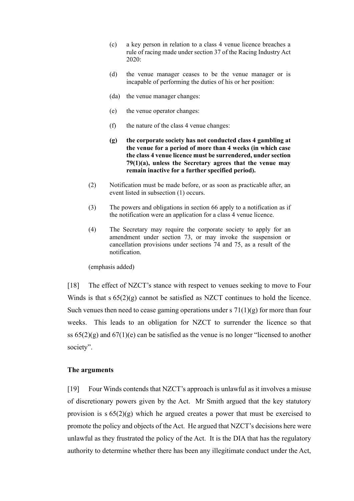- (c) a key person in relation to a class 4 venue licence breaches a rule of racing made under section 37 of the Racing Industry Act 2020:
- (d) the venue manager ceases to be the venue manager or is incapable of performing the duties of his or her position:
- (da) the venue manager changes:
- (e) the venue operator changes:
- (f) the nature of the class 4 venue changes:
- **(g) the corporate society has not conducted class 4 gambling at the venue for a period of more than 4 weeks (in which case the class 4 venue licence must be surrendered, under section 79(1)(a), unless the Secretary agrees that the venue may remain inactive for a further specified period).**
- (2) Notification must be made before, or as soon as practicable after, an event listed in subsection (1) occurs.
- (3) The powers and obligations in section 66 apply to a notification as if the notification were an application for a class 4 venue licence.
- (4) The Secretary may require the corporate society to apply for an amendment under section 73, or may invoke the suspension or cancellation provisions under sections 74 and 75, as a result of the notification.

(emphasis added)

[18] The effect of NZCT's stance with respect to venues seeking to move to Four Winds is that s 65(2)(g) cannot be satisfied as NZCT continues to hold the licence. Such venues then need to cease gaming operations under s  $71(1)(g)$  for more than four weeks. This leads to an obligation for NZCT to surrender the licence so that ss  $65(2)(g)$  and  $67(1)(e)$  can be satisfied as the venue is no longer "licensed to another society".

## **The arguments**

[19] Four Winds contends that NZCT's approach is unlawful as it involves a misuse of discretionary powers given by the Act. Mr Smith argued that the key statutory provision is  $s 65(2)(g)$  which he argued creates a power that must be exercised to promote the policy and objects of the Act. He argued that NZCT's decisions here were unlawful as they frustrated the policy of the Act. It is the DIA that has the regulatory authority to determine whether there has been any illegitimate conduct under the Act,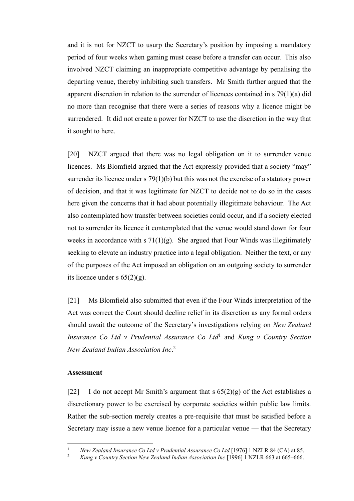and it is not for NZCT to usurp the Secretary's position by imposing a mandatory period of four weeks when gaming must cease before a transfer can occur. This also involved NZCT claiming an inappropriate competitive advantage by penalising the departing venue, thereby inhibiting such transfers. Mr Smith further argued that the apparent discretion in relation to the surrender of licences contained in s 79(1)(a) did no more than recognise that there were a series of reasons why a licence might be surrendered. It did not create a power for NZCT to use the discretion in the way that it sought to here.

[20] NZCT argued that there was no legal obligation on it to surrender venue licences. Ms Blomfield argued that the Act expressly provided that a society "may" surrender its licence under s 79(1)(b) but this was not the exercise of a statutory power of decision, and that it was legitimate for NZCT to decide not to do so in the cases here given the concerns that it had about potentially illegitimate behaviour. The Act also contemplated how transfer between societies could occur, and if a society elected not to surrender its licence it contemplated that the venue would stand down for four weeks in accordance with  $s \, 71(1)(g)$ . She argued that Four Winds was illegitimately seeking to elevate an industry practice into a legal obligation. Neither the text, or any of the purposes of the Act imposed an obligation on an outgoing society to surrender its licence under s  $65(2)(g)$ .

[21] Ms Blomfield also submitted that even if the Four Winds interpretation of the Act was correct the Court should decline relief in its discretion as any formal orders should await the outcome of the Secretary's investigations relying on *New Zealand Insurance Co Ltd v Prudential Assurance Co Ltd*<sup>1</sup> and *Kung v Country Section New Zealand Indian Association Inc*. 2

#### **Assessment**

[22] I do not accept Mr Smith's argument that s  $65(2)(g)$  of the Act establishes a discretionary power to be exercised by corporate societies within public law limits. Rather the sub-section merely creates a pre-requisite that must be satisfied before a Secretary may issue a new venue licence for a particular venue — that the Secretary

<sup>1</sup> *New Zealand Insurance Co Ltd v Prudential Assurance Co Ltd* [1976] 1 NZLR 84 (CA) at 85.

<sup>2</sup> *Kung v Country Section New Zealand Indian Association Inc* [1996] 1 NZLR 663 at 665–666.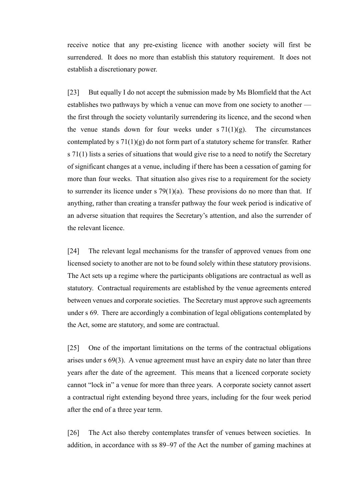receive notice that any pre-existing licence with another society will first be surrendered. It does no more than establish this statutory requirement. It does not establish a discretionary power.

[23] But equally I do not accept the submission made by Ms Blomfield that the Act establishes two pathways by which a venue can move from one society to another the first through the society voluntarily surrendering its licence, and the second when the venue stands down for four weeks under  $s \frac{71(1)}{g}$ . The circumstances contemplated by s  $71(1)(g)$  do not form part of a statutory scheme for transfer. Rather s 71(1) lists a series of situations that would give rise to a need to notify the Secretary of significant changes at a venue, including if there has been a cessation of gaming for more than four weeks. That situation also gives rise to a requirement for the society to surrender its licence under  $s$  79(1)(a). These provisions do no more than that. If anything, rather than creating a transfer pathway the four week period is indicative of an adverse situation that requires the Secretary's attention, and also the surrender of the relevant licence.

[24] The relevant legal mechanisms for the transfer of approved venues from one licensed society to another are not to be found solely within these statutory provisions. The Act sets up a regime where the participants obligations are contractual as well as statutory. Contractual requirements are established by the venue agreements entered between venues and corporate societies. The Secretary must approve such agreements under s 69. There are accordingly a combination of legal obligations contemplated by the Act, some are statutory, and some are contractual.

[25] One of the important limitations on the terms of the contractual obligations arises under s 69(3). A venue agreement must have an expiry date no later than three years after the date of the agreement. This means that a licenced corporate society cannot "lock in" a venue for more than three years. A corporate society cannot assert a contractual right extending beyond three years, including for the four week period after the end of a three year term.

[26] The Act also thereby contemplates transfer of venues between societies. In addition, in accordance with ss 89–97 of the Act the number of gaming machines at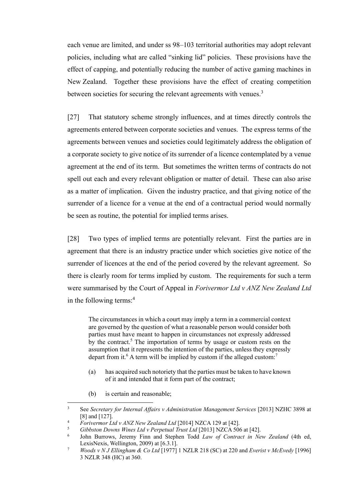each venue are limited, and under ss 98–103 territorial authorities may adopt relevant policies, including what are called "sinking lid" policies. These provisions have the effect of capping, and potentially reducing the number of active gaming machines in New Zealand. Together these provisions have the effect of creating competition between societies for securing the relevant agreements with venues. $3$ 

[27] That statutory scheme strongly influences, and at times directly controls the agreements entered between corporate societies and venues. The express terms of the agreements between venues and societies could legitimately address the obligation of a corporate society to give notice of its surrender of a licence contemplated by a venue agreement at the end of its term. But sometimes the written terms of contracts do not spell out each and every relevant obligation or matter of detail. These can also arise as a matter of implication. Given the industry practice, and that giving notice of the surrender of a licence for a venue at the end of a contractual period would normally be seen as routine, the potential for implied terms arises.

[28] Two types of implied terms are potentially relevant. First the parties are in agreement that there is an industry practice under which societies give notice of the surrender of licences at the end of the period covered by the relevant agreement. So there is clearly room for terms implied by custom. The requirements for such a term were summarised by the Court of Appeal in *Forivermor Ltd v ANZ New Zealand Ltd* in the following terms:<sup>4</sup>

The circumstances in which a court may imply a term in a commercial context are governed by the question of what a reasonable person would consider both parties must have meant to happen in circumstances not expressly addressed by the contract.<sup>5</sup> The importation of terms by usage or custom rests on the assumption that it represents the intention of the parties, unless they expressly depart from it.<sup>6</sup> A term will be implied by custom if the alleged custom:<sup>7</sup>

- (a) has acquired such notoriety that the parties must be taken to have known of it and intended that it form part of the contract;
- (b) is certain and reasonable;

<sup>3</sup> See *Secretary for Internal Affairs v Administration Management Services* [2013] NZHC 3898 at [8] and [127].

<sup>4</sup> *Forivermor Ltd v ANZ New Zealand Ltd* [2014] NZCA 129 at [42].

<sup>5</sup> *Gibbston Downs Wines Ltd v Perpetual Trust Ltd* [2013] NZCA 506 at [42].

<sup>6</sup> John Burrows, Jeremy Finn and Stephen Todd *Law of Contract in New Zealand* (4th ed, LexisNexis, Wellington, 2009) at [6.3.1].

<sup>7</sup> *Woods v N J Ellingham & Co Ltd* [1977] 1 NZLR 218 (SC) at 220 and *Everist v McEvedy* [1996] 3 NZLR 348 (HC) at 360.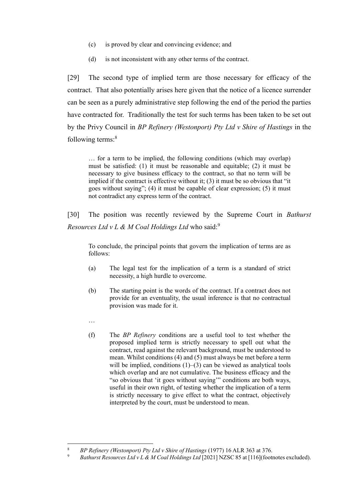- (c) is proved by clear and convincing evidence; and
- (d) is not inconsistent with any other terms of the contract.

[29] The second type of implied term are those necessary for efficacy of the contract. That also potentially arises here given that the notice of a licence surrender can be seen as a purely administrative step following the end of the period the parties have contracted for. Traditionally the test for such terms has been taken to be set out by the Privy Council in *BP Refinery (Westonport) Pty Ltd v Shire of Hastings* in the following terms:<sup>8</sup>

… for a term to be implied, the following conditions (which may overlap) must be satisfied: (1) it must be reasonable and equitable; (2) it must be necessary to give business efficacy to the contract, so that no term will be implied if the contract is effective without it; (3) it must be so obvious that "it goes without saying"; (4) it must be capable of clear expression; (5) it must not contradict any express term of the contract.

[30] The position was recently reviewed by the Supreme Court in *Bathurst Resources Ltd v L & M Coal Holdings Ltd* who said:<sup>9</sup>

To conclude, the principal points that govern the implication of terms are as follows:

- (a) The legal test for the implication of a term is a standard of strict necessity, a high hurdle to overcome.
- (b) The starting point is the words of the contract. If a contract does not provide for an eventuality, the usual inference is that no contractual provision was made for it.
- …
- (f) The *BP Refinery* conditions are a useful tool to test whether the proposed implied term is strictly necessary to spell out what the contract, read against the relevant background, must be understood to mean. Whilst conditions (4) and (5) must always be met before a term will be implied, conditions (1)–(3) can be viewed as analytical tools which overlap and are not cumulative. The business efficacy and the "so obvious that 'it goes without saying"" conditions are both ways, useful in their own right, of testing whether the implication of a term is strictly necessary to give effect to what the contract, objectively interpreted by the court, must be understood to mean.

<sup>8</sup> *BP Refinery (Westonport) Pty Ltd v Shire of Hastings* (1977) 16 ALR 363 at 376.

<sup>9</sup> *Bathurst Resources Ltd v L & M Coal Holdings Ltd* [2021] NZSC 85 at [116](footnotes excluded).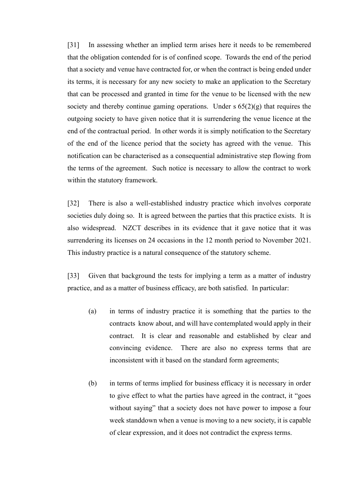[31] In assessing whether an implied term arises here it needs to be remembered that the obligation contended for is of confined scope. Towards the end of the period that a society and venue have contracted for, or when the contract is being ended under its terms, it is necessary for any new society to make an application to the Secretary that can be processed and granted in time for the venue to be licensed with the new society and thereby continue gaming operations. Under  $s$  65(2)(g) that requires the outgoing society to have given notice that it is surrendering the venue licence at the end of the contractual period. In other words it is simply notification to the Secretary of the end of the licence period that the society has agreed with the venue. This notification can be characterised as a consequential administrative step flowing from the terms of the agreement. Such notice is necessary to allow the contract to work within the statutory framework.

[32] There is also a well-established industry practice which involves corporate societies duly doing so. It is agreed between the parties that this practice exists. It is also widespread. NZCT describes in its evidence that it gave notice that it was surrendering its licenses on 24 occasions in the 12 month period to November 2021. This industry practice is a natural consequence of the statutory scheme.

[33] Given that background the tests for implying a term as a matter of industry practice, and as a matter of business efficacy, are both satisfied. In particular:

- (a) in terms of industry practice it is something that the parties to the contracts know about, and will have contemplated would apply in their contract. It is clear and reasonable and established by clear and convincing evidence. There are also no express terms that are inconsistent with it based on the standard form agreements;
- (b) in terms of terms implied for business efficacy it is necessary in order to give effect to what the parties have agreed in the contract, it "goes without saying" that a society does not have power to impose a four week standdown when a venue is moving to a new society, it is capable of clear expression, and it does not contradict the express terms.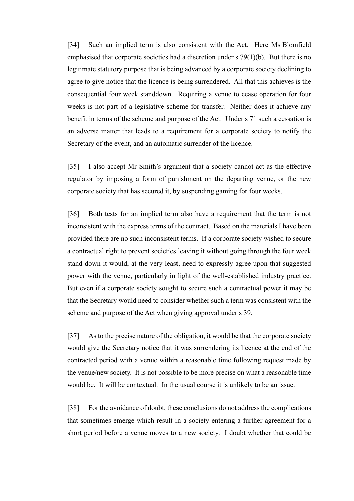[34] Such an implied term is also consistent with the Act. Here Ms Blomfield emphasised that corporate societies had a discretion under s 79(1)(b). But there is no legitimate statutory purpose that is being advanced by a corporate society declining to agree to give notice that the licence is being surrendered. All that this achieves is the consequential four week standdown. Requiring a venue to cease operation for four weeks is not part of a legislative scheme for transfer. Neither does it achieve any benefit in terms of the scheme and purpose of the Act. Under s 71 such a cessation is an adverse matter that leads to a requirement for a corporate society to notify the Secretary of the event, and an automatic surrender of the licence.

[35] I also accept Mr Smith's argument that a society cannot act as the effective regulator by imposing a form of punishment on the departing venue, or the new corporate society that has secured it, by suspending gaming for four weeks.

[36] Both tests for an implied term also have a requirement that the term is not inconsistent with the express terms of the contract. Based on the materials I have been provided there are no such inconsistent terms. If a corporate society wished to secure a contractual right to prevent societies leaving it without going through the four week stand down it would, at the very least, need to expressly agree upon that suggested power with the venue, particularly in light of the well-established industry practice. But even if a corporate society sought to secure such a contractual power it may be that the Secretary would need to consider whether such a term was consistent with the scheme and purpose of the Act when giving approval under s 39.

[37] As to the precise nature of the obligation, it would be that the corporate society would give the Secretary notice that it was surrendering its licence at the end of the contracted period with a venue within a reasonable time following request made by the venue/new society. It is not possible to be more precise on what a reasonable time would be. It will be contextual. In the usual course it is unlikely to be an issue.

[38] For the avoidance of doubt, these conclusions do not address the complications that sometimes emerge which result in a society entering a further agreement for a short period before a venue moves to a new society. I doubt whether that could be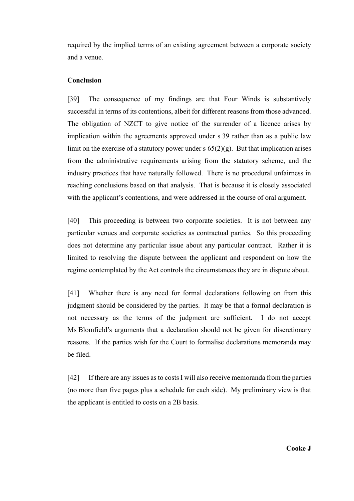required by the implied terms of an existing agreement between a corporate society and a venue.

### **Conclusion**

[39] The consequence of my findings are that Four Winds is substantively successful in terms of its contentions, albeit for different reasons from those advanced. The obligation of NZCT to give notice of the surrender of a licence arises by implication within the agreements approved under s 39 rather than as a public law limit on the exercise of a statutory power under s  $65(2)(g)$ . But that implication arises from the administrative requirements arising from the statutory scheme, and the industry practices that have naturally followed. There is no procedural unfairness in reaching conclusions based on that analysis. That is because it is closely associated with the applicant's contentions, and were addressed in the course of oral argument.

[40] This proceeding is between two corporate societies. It is not between any particular venues and corporate societies as contractual parties. So this proceeding does not determine any particular issue about any particular contract. Rather it is limited to resolving the dispute between the applicant and respondent on how the regime contemplated by the Act controls the circumstances they are in dispute about.

[41] Whether there is any need for formal declarations following on from this judgment should be considered by the parties. It may be that a formal declaration is not necessary as the terms of the judgment are sufficient. I do not accept Ms Blomfield's arguments that a declaration should not be given for discretionary reasons. If the parties wish for the Court to formalise declarations memoranda may be filed.

[42] If there are any issues as to costs I will also receive memoranda from the parties (no more than five pages plus a schedule for each side). My preliminary view is that the applicant is entitled to costs on a 2B basis.